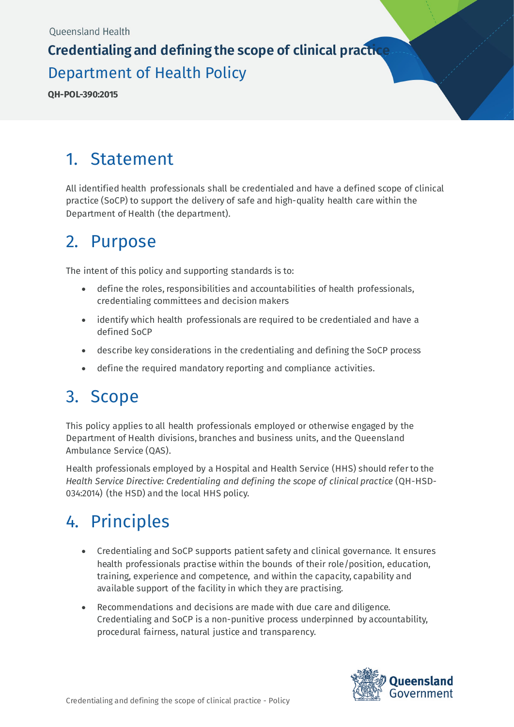# **Credentialing and defining the scope of clinical practice** Department of Health Policy

**QH-POL-390:2015**

## 1. Statement

All identified health professionals shall be credentialed and have a defined scope of clinical practice (SoCP) to support the delivery of safe and high-quality health care within the Department of Health (the department).

### 2. Purpose

The intent of this policy and supporting standards is to:

- define the roles, responsibilities and accountabilities of health professionals, credentialing committees and decision makers
- identify which health professionals are required to be credentialed and have a defined SoCP
- describe key considerations in the credentialing and defining the SoCP process
- define the required mandatory reporting and compliance activities.

## 3. Scope

This policy applies to all health professionals employed or otherwise engaged by the Department of Health divisions, branches and business units, and the Queensland Ambulance Service (QAS).

Health professionals employed by a Hospital and Health Service (HHS) should refer to the *Health Service Directive: Credentialing and defining the scope of clinical practice* (QH-HSD-034:2014) (the HSD) and the local HHS policy.

# 4. Principles

- Credentialing and SoCP supports patient safety and clinical governance. It ensures health professionals practise within the bounds of their role/position, education, training, experience and competence, and within the capacity, capability and available support of the facility in which they are practising.
- Recommendations and decisions are made with due care and diligence. Credentialing and SoCP is a non-punitive process underpinned by accountability, procedural fairness, natural justice and transparency.

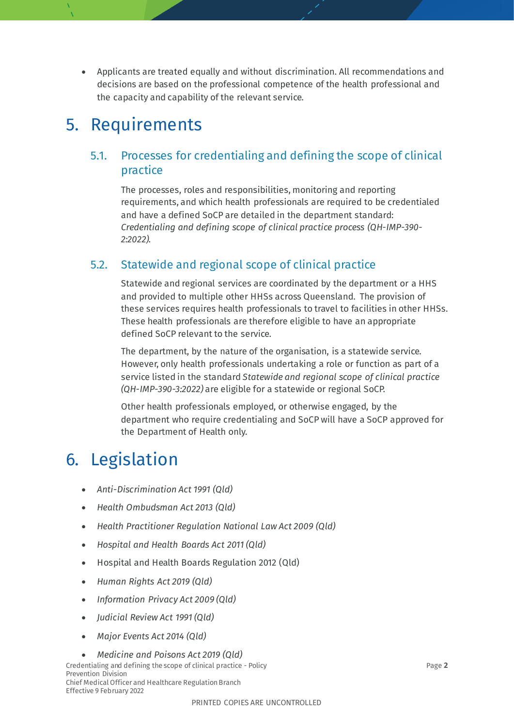• Applicants are treated equally and without discrimination. All recommendations and decisions are based on the professional competence of the health professional and the capacity and capability of the relevant service.

## 5. Requirements

#### 5.1. Processes for credentialing and defining the scope of clinical practice

The processes, roles and responsibilities, monitoring and reporting requirements, and which health professionals are required to be credentialed and have a defined SoCP are detailed in the department standard: *Credentialing and defining scope of clinical practice process (QH-IMP-390- 2:2022).*

#### 5.2. Statewide and regional scope of clinical practice

Statewide and regional services are coordinated by the department or a HHS and provided to multiple other HHSs across Queensland. The provision of these services requires health professionals to travel to facilities in other HHSs. These health professionals are therefore eligible to have an appropriate defined SoCP relevant to the service.

The department, by the nature of the organisation, is a statewide service. However, only health professionals undertaking a role or function as part of a service listed in the standard *Statewide and regional scope of clinical practice (QH-IMP-390-3:2022)* are eligible for a statewide or regional SoCP.

Other health professionals employed, or otherwise engaged, by the department who require credentialing and SoCP will have a SoCP approved for the Department of Health only.

# 6. Legislation

- *Anti-Discrimination Act 1991 (Qld)*
- *Health Ombudsman Act 2013 (Qld)*
- *Health Practitioner Regulation National Law Act 2009 (Qld)*
- *Hospital and Health Boards Act 2011 (Qld)*
- Hospital and Health Boards Regulation 2012 (Qld)
- *Human Rights Act 2019 (Qld)*
- *Information Privacy Act 2009 (Qld)*
- *Judicial Review Act 1991 (Qld)*
- *Major Events Act 2014 (Qld)*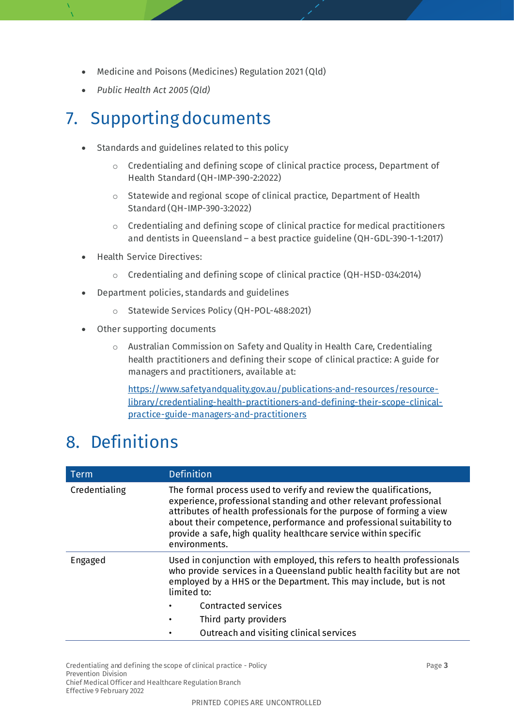- Medicine and Poisons (Medicines) Regulation 2021 (Qld)
- *Public Health Act 2005 (Qld)*

# 7. Supporting documents

- Standards and guidelines related to this policy
	- o Credentialing and defining scope of clinical practice process, Department of Health Standard (QH-IMP-390-2:2022)
	- o Statewide and regional scope of clinical practice, Department of Health Standard (QH-IMP-390-3:2022)
	- o Credentialing and defining scope of clinical practice for medical practitioners and dentists in Queensland – a best practice guideline (QH-GDL-390-1-1:2017)
- Health Service Directives:
	- o Credentialing and defining scope of clinical practice (QH-HSD-034:2014)
- Department policies, standards and guidelines
	- o Statewide Services Policy (QH-POL-488:2021)
- Other supporting documents
	- o Australian Commission on Safety and Quality in Health Care, Credentialing health practitioners and defining their scope of clinical practice: A guide for managers and practitioners, available at:

[https://www.safetyandquality.gov.au/publications-and-resources/resource](https://www.safetyandquality.gov.au/publications-and-resources/resource-library/credentialing-health-practitioners-and-defining-their-scope-clinical-practice-guide-managers-and-practitioners)[library/credentialing-health-practitioners-and-defining-their-scope-clinical](https://www.safetyandquality.gov.au/publications-and-resources/resource-library/credentialing-health-practitioners-and-defining-their-scope-clinical-practice-guide-managers-and-practitioners)[practice-guide-managers-and-practitioners](https://www.safetyandquality.gov.au/publications-and-resources/resource-library/credentialing-health-practitioners-and-defining-their-scope-clinical-practice-guide-managers-and-practitioners)

## 8. Definitions

| <b>Term</b>   | <b>Definition</b>                                                                                                                                                                                                                                                                                                                                                        |  |
|---------------|--------------------------------------------------------------------------------------------------------------------------------------------------------------------------------------------------------------------------------------------------------------------------------------------------------------------------------------------------------------------------|--|
| Credentialing | The formal process used to verify and review the qualifications,<br>experience, professional standing and other relevant professional<br>attributes of health professionals for the purpose of forming a view<br>about their competence, performance and professional suitability to<br>provide a safe, high quality healthcare service within specific<br>environments. |  |
| Engaged       | Used in conjunction with employed, this refers to health professionals<br>who provide services in a Queensland public health facility but are not<br>employed by a HHS or the Department. This may include, but is not<br>limited to:                                                                                                                                    |  |
|               | Contracted services                                                                                                                                                                                                                                                                                                                                                      |  |
|               | Third party providers                                                                                                                                                                                                                                                                                                                                                    |  |
|               | Outreach and visiting clinical services                                                                                                                                                                                                                                                                                                                                  |  |